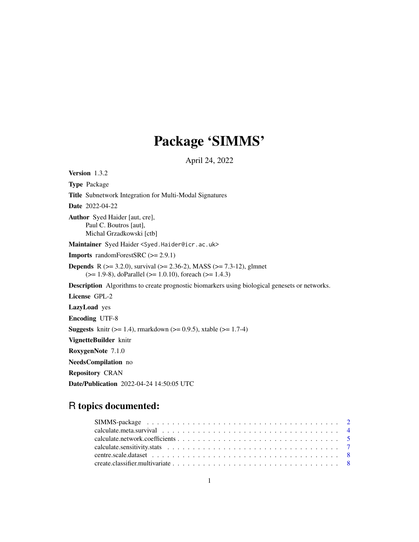# Package 'SIMMS'

April 24, 2022

Version 1.3.2 Type Package Title Subnetwork Integration for Multi-Modal Signatures Date 2022-04-22 Author Syed Haider [aut, cre], Paul C. Boutros [aut], Michal Grzadkowski [ctb] Maintainer Syed Haider <Syed.Haider@icr.ac.uk> Imports randomForestSRC (>= 2.9.1) **Depends** R ( $>= 3.2.0$ ), survival ( $>= 2.36-2$ ), MASS ( $>= 7.3-12$ ), glmnet (>= 1.9-8), doParallel (>= 1.0.10), foreach (>= 1.4.3) Description Algorithms to create prognostic biomarkers using biological genesets or networks. License GPL-2 LazyLoad yes Encoding UTF-8 **Suggests** knitr ( $>= 1.4$ ), rmarkdown ( $>= 0.9.5$ ), xtable ( $>= 1.7-4$ ) VignetteBuilder knitr RoxygenNote 7.1.0 NeedsCompilation no Repository CRAN

Date/Publication 2022-04-24 14:50:05 UTC

# R topics documented: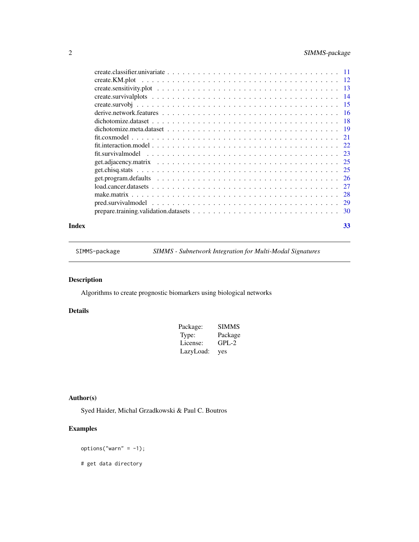# <span id="page-1-0"></span>2 SIMMS-package

| Index | 33 |
|-------|----|
|       |    |

SIMMS-package *SIMMS - Subnetwork Integration for Multi-Modal Signatures*

# Description

Algorithms to create prognostic biomarkers using biological networks

# Details

| Package:  | <b>SIMMS</b> |
|-----------|--------------|
| Type:     | Package      |
| License:  | $GPL-2$      |
| LazyLoad: | yes          |

# Author(s)

Syed Haider, Michal Grzadkowski & Paul C. Boutros

# Examples

options("warn" =  $-1$ );

# get data directory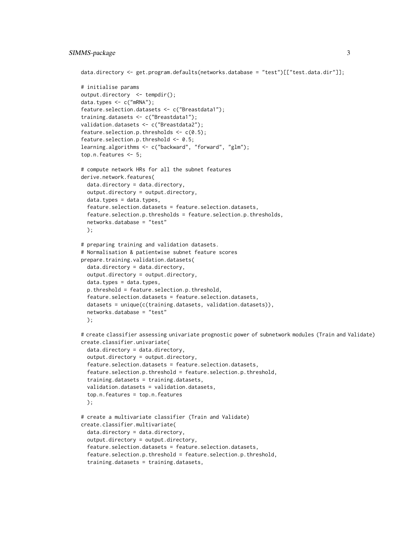# SIMMS-package 3

```
data.directory <- get.program.defaults(networks.database = "test")[["test.data.dir"]];
# initialise params
output.directory <- tempdir();
data.types <- c("mRNA");
feature.selection.datasets <- c("Breastdata1");
training.datasets <- c("Breastdata1");
validation.datasets <- c("Breastdata2");
feature.selection.p.thresholds \leq c(0.5);
feature.selection.p.threshold <- 0.5;
learning.algorithms <- c("backward", "forward", "glm");
top.n.features <- 5;
# compute network HRs for all the subnet features
derive.network.features(
 data.directory = data.directory,
 output.directory = output.directory,
 data.types = data.types,
 feature.selection.datasets = feature.selection.datasets,
 feature.selection.p.thresholds = feature.selection.p.thresholds,
 networks.database = "test"
 );
# preparing training and validation datasets.
# Normalisation & patientwise subnet feature scores
prepare.training.validation.datasets(
 data.directory = data.directory,
 output.directory = output.directory,
 data.types = data.types,
 p.threshold = feature.selection.p.threshold,
 feature.selection.datasets = feature.selection.datasets,
 datasets = unique(c(training.datasets, validation.datasets)),
 networks.database = "test"
 );
# create classifier assessing univariate prognostic power of subnetwork modules (Train and Validate)
create.classifier.univariate(
 data.directory = data.directory,
 output.directory = output.directory,
 feature.selection.datasets = feature.selection.datasets,
 feature.selection.p.threshold = feature.selection.p.threshold,
  training.datasets = training.datasets,
 validation.datasets = validation.datasets,
 top.n.features = top.n.features
 );
# create a multivariate classifier (Train and Validate)
create.classifier.multivariate(
 data.directory = data.directory,
 output.directory = output.directory,
 feature.selection.datasets = feature.selection.datasets,
  feature.selection.p.threshold = feature.selection.p.threshold,
  training.datasets = training.datasets,
```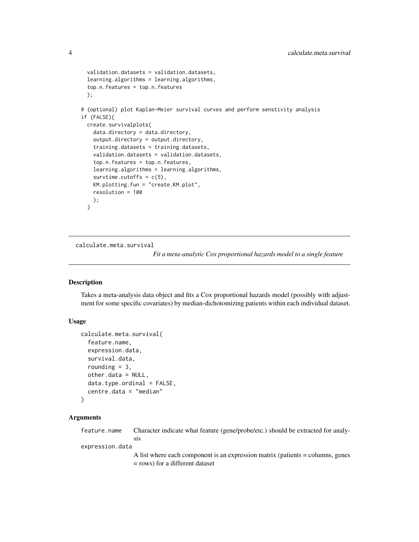```
validation.datasets = validation.datasets,
 learning.algorithms = learning.algorithms,
 top.n.features = top.n.features
 );
# (optional) plot Kaplan-Meier survival curves and perform senstivity analysis
if (FALSE){
 create.survivalplots(
   data.directory = data.directory,
   output.directory = output.directory,
   training.datasets = training.datasets,
   validation.datasets = validation.datasets,
   top.n.features = top.n.features,
   learning.algorithms = learning.algorithms,
   survtime.cutoffs = c(5),
   KM.plotting.fun = "create.KM.plot",
   resolution = 100
   );
 }
```
calculate.meta.survival

*Fit a meta-analytic Cox proportional hazards model to a single feature*

# Description

Takes a meta-analysis data object and fits a Cox proportional hazards model (possibly with adjustment for some specific covariates) by median-dichotomizing patients within each individual dataset.

#### Usage

```
calculate.meta.survival(
  feature.name,
  expression.data,
  survival.data,
  rounding = 3,
  other.data = NULL,
  data.type.ordinal = FALSE,
  centre.data = "median"
\mathcal{L}
```
# Arguments

feature.name Character indicate what feature (gene/probe/etc.) should be extracted for analysis

expression.data

A list where each component is an expression matrix (patients = columns, genes = rows) for a different dataset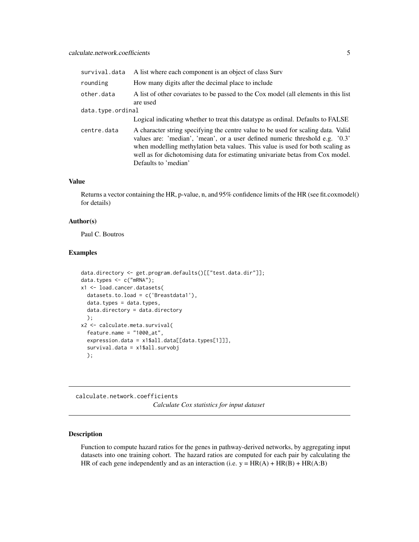<span id="page-4-0"></span>

| survival.data     | A list where each component is an object of class Surv                                                                                                                                                                                                                                                                                                        |
|-------------------|---------------------------------------------------------------------------------------------------------------------------------------------------------------------------------------------------------------------------------------------------------------------------------------------------------------------------------------------------------------|
| rounding          | How many digits after the decimal place to include                                                                                                                                                                                                                                                                                                            |
| other.data        | A list of other covariates to be passed to the Cox model (all elements in this list<br>are used                                                                                                                                                                                                                                                               |
| data.type.ordinal |                                                                                                                                                                                                                                                                                                                                                               |
|                   | Logical indicating whether to treat this data type as ordinal. Defaults to FALSE                                                                                                                                                                                                                                                                              |
| centre.data       | A character string specifying the centre value to be used for scaling data. Valid<br>values are: 'median', 'mean', or a user defined numeric threshold e.g. '0.3'<br>when modelling methylation beta values. This value is used for both scaling as<br>well as for dichotomising data for estimating univariate betas from Cox model.<br>Defaults to 'median' |

# Value

Returns a vector containing the HR, p-value, n, and 95% confidence limits of the HR (see fit.coxmodel() for details)

#### Author(s)

Paul C. Boutros

# Examples

```
data.directory <- get.program.defaults()[["test.data.dir"]];
data.types <- c("mRNA");
x1 <- load.cancer.datasets(
  datasets.to.load = c('Breastdata1'),
  data.types = data.types,
  data.directory = data.directory
  );
x2 <- calculate.meta.survival(
  feature.name = "1000_at",
  expression.data = x1$all.data[[data.types[1]]],
  survival.data = x1$all.survobj
  );
```
calculate.network.coefficients *Calculate Cox statistics for input dataset*

# Description

Function to compute hazard ratios for the genes in pathway-derived networks, by aggregating input datasets into one training cohort. The hazard ratios are computed for each pair by calculating the HR of each gene independently and as an interaction (i.e.  $y = HR(A) + HR(B) + HR(A:B)$ )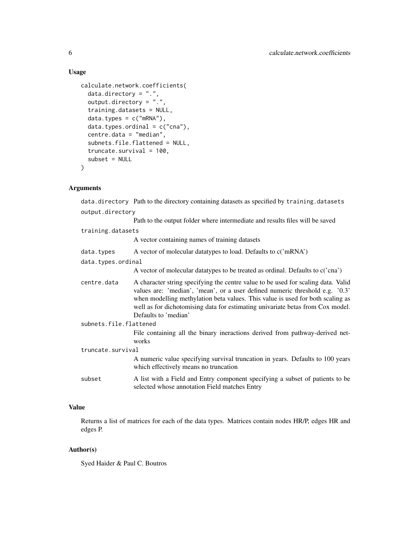#### Usage

```
calculate.network.coefficients(
  data.directory = ".".output.directory = ".",
  training.datasets = NULL,
  data.types = c("mRNA"),
  data.types. ordinal = c("cna"),centre.data = "median",
  subnets.file.flattened = NULL,
  truncate.survival = 100,
  subset = NULL)
```
#### Arguments

data.directory Path to the directory containing datasets as specified by training.datasets output.directory Path to the output folder where intermediate and results files will be saved training.datasets A vector containing names of training datasets data.types A vector of molecular datatypes to load. Defaults to  $c('mRNA')$ data.types.ordinal A vector of molecular datatypes to be treated as ordinal. Defaults to c('cna') centre.data A character string specifying the centre value to be used for scaling data. Valid values are: 'median', 'mean', or a user defined numeric threshold e.g. '0.3' when modelling methylation beta values. This value is used for both scaling as well as for dichotomising data for estimating univariate betas from Cox model. Defaults to 'median' subnets.file.flattened File containing all the binary ineractions derived from pathway-derived networks truncate.survival A numeric value specifying survival truncation in years. Defaults to 100 years which effectively means no truncation subset A list with a Field and Entry component specifying a subset of patients to be selected whose annotation Field matches Entry

# Value

Returns a list of matrices for each of the data types. Matrices contain nodes HR/P, edges HR and edges P.

#### Author(s)

Syed Haider & Paul C. Boutros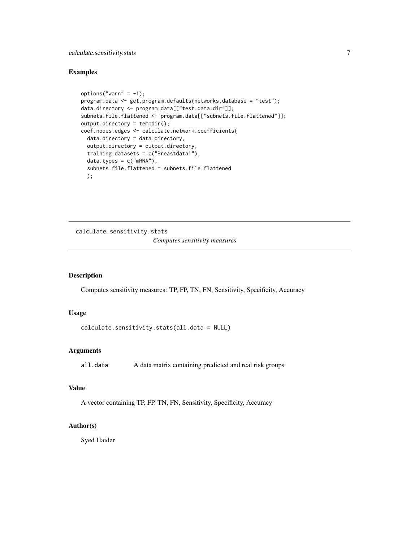# <span id="page-6-0"></span>calculate.sensitivity.stats 7

# Examples

```
options("warn" = -1);
program.data <- get.program.defaults(networks.database = "test");
data.directory <- program.data[["test.data.dir"]];
subnets.file.flattened <- program.data[["subnets.file.flattened"]];
output.directory = tempdir();
coef.nodes.edges <- calculate.network.coefficients(
 data.directory = data.directory,
 output.directory = output.directory,
 training.datasets = c("Breastdata1"),
 data.types = c("mRNA"),
 subnets.file.flattened = subnets.file.flattened
 );
```
calculate.sensitivity.stats *Computes sensitivity measures*

#### Description

Computes sensitivity measures: TP, FP, TN, FN, Sensitivity, Specificity, Accuracy

#### Usage

```
calculate.sensitivity.stats(all.data = NULL)
```
# Arguments

all.data A data matrix containing predicted and real risk groups

#### Value

A vector containing TP, FP, TN, FN, Sensitivity, Specificity, Accuracy

# Author(s)

Syed Haider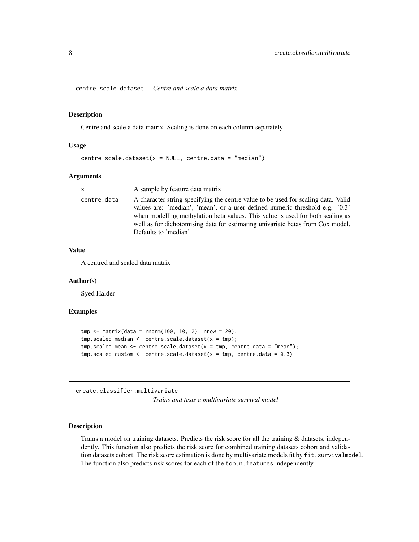<span id="page-7-0"></span>centre.scale.dataset *Centre and scale a data matrix*

#### Description

Centre and scale a data matrix. Scaling is done on each column separately

#### Usage

centre.scale.dataset( $x = NULL$ , centre.data = "median")

#### Arguments

| x.          | A sample by feature data matrix                                                                                                                                |
|-------------|----------------------------------------------------------------------------------------------------------------------------------------------------------------|
| centre.data | A character string specifying the centre value to be used for scaling data. Valid                                                                              |
|             | values are: 'median', 'mean', or a user defined numeric threshold e.g. '0.3'<br>when modelling methylation beta values. This value is used for both scaling as |
|             | well as for dichotomising data for estimating univariate betas from Cox model.<br>Defaults to 'median'                                                         |

# Value

A centred and scaled data matrix

#### Author(s)

Syed Haider

#### Examples

```
tmp < - matrix(data = norm(100, 10, 2), nrow = 20);tmp.scaled.median <- centre.scale.dataset(x = tmp);
tmp.scaled.mean < -centre.scale.data = tmp, centre.data = "mean");tmp.scaled.custom < -centries. scale.dataset(x = tmp, centre.data = 0.3);
```
create.classifier.multivariate

*Trains and tests a multivariate survival model*

#### **Description**

Trains a model on training datasets. Predicts the risk score for all the training & datasets, independently. This function also predicts the risk score for combined training datasets cohort and validation datasets cohort. The risk score estimation is done by multivariate models fit by fit.survivalmodel. The function also predicts risk scores for each of the top.n.features independently.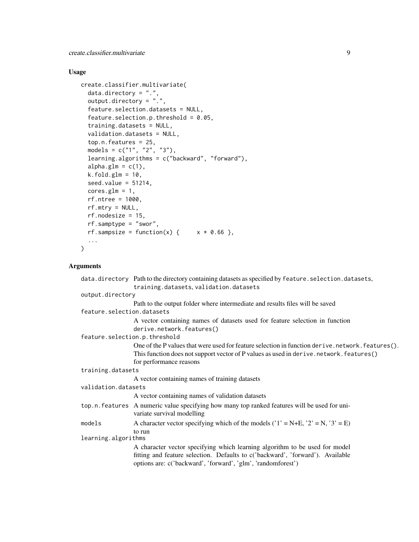create.classifier.multivariate 9

#### Usage

```
create.classifier.multivariate(
  data.directory = ".".output.directory = ".'feature.selection.datasets = NULL,
  feature.selection.p.threshold = 0.05,
  training.datasets = NULL,
  validation.datasets = NULL,
  top.n.features = 25,
  models = c("1", "2", "3"),
  learning.algorithms = c("backward", "forward"),
  alpha.glm = c(1),k.fold.glm = 10,seed.value = 51214,
  cores.glm = 1,rf.ntree = 1000,
  rf.mtry = NULL,rf.nodesize = 15,
  rf.samptype = "swor",
  rf.sampsize = function(x) { x * 0.66 },
  ...
\mathcal{L}
```
#### Arguments

```
data.directory Path to the directory containing datasets as specified by feature.selection.datasets,
                  training.datasets, validation.datasets
output.directory
                 Path to the output folder where intermediate and results files will be saved
feature.selection.datasets
                 A vector containing names of datasets used for feature selection in function
                  derive.network.features()
feature.selection.p.threshold
                  One of the P values that were used for feature selection in function derive.network.features().
                  This function does not support vector of P values as used in derive.network.features()
                 for performance reasons
training.datasets
                  A vector containing names of training datasets
validation.datasets
                 A vector containing names of validation datasets
top.n.features A numeric value specifying how many top ranked features will be used for uni-
                  variate survival modelling
models A character vector specifying which of the models ('1' = N+E, '2' = N, '3' = E)to run
learning.algorithms
                  A character vector specifying which learning algorithm to be used for model
                  fitting and feature selection. Defaults to c('backward', 'forward'). Available
                  options are: c('backward', 'forward', 'glm', 'randomforest')
```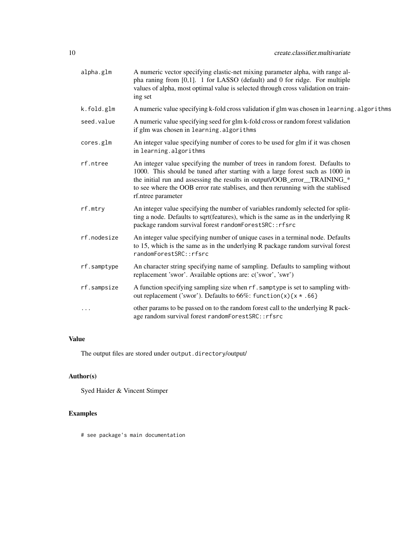| alpha.glm   | A numeric vector specifying elastic-net mixing parameter alpha, with range al-<br>pha raning from $[0,1]$ . 1 for LASSO (default) and 0 for ridge. For multiple<br>values of alpha, most optimal value is selected through cross validation on train-<br>ing set                                                                                      |
|-------------|-------------------------------------------------------------------------------------------------------------------------------------------------------------------------------------------------------------------------------------------------------------------------------------------------------------------------------------------------------|
| k.fold.glm  | A numeric value specifying k-fold cross validation if glm was chosen in learning. algorithms                                                                                                                                                                                                                                                          |
| seed.value  | A numeric value specifying seed for glm k-fold cross or random forest validation<br>if glm was chosen in learning.algorithms                                                                                                                                                                                                                          |
| cores.glm   | An integer value specifying number of cores to be used for glm if it was chosen<br>in learning.algorithms                                                                                                                                                                                                                                             |
| rf.ntree    | An integer value specifying the number of trees in random forest. Defaults to<br>1000. This should be tuned after starting with a large forest such as 1000 in<br>the initial run and assessing the results in output VOOB_error_TRAINING_*<br>to see where the OOB error rate stablises, and then rerunning with the stablised<br>rf.ntree parameter |
| rf.mtry     | An integer value specifying the number of variables randomly selected for split-<br>ting a node. Defaults to sqrt(features), which is the same as in the underlying R<br>package random survival forest randomForestSRC:: rfsrc                                                                                                                       |
| rf.nodesize | An integer value specifying number of unique cases in a terminal node. Defaults<br>to 15, which is the same as in the underlying R package random survival forest<br>randomForestSRC::rfsrc                                                                                                                                                           |
| rf.samptype | An character string specifying name of sampling. Defaults to sampling without<br>replacement 'swor'. Available options are: c('swor', 'swr')                                                                                                                                                                                                          |
| rf.sampsize | A function specifying sampling size when rf. samptype is set to sampling with-<br>out replacement ('swor'). Defaults to 66%: function(x){ $x * .66$ }                                                                                                                                                                                                 |
| .           | other params to be passed on to the random forest call to the underlying R pack-<br>age random survival forest randomForestSRC:: rfsrc                                                                                                                                                                                                                |

# Value

The output files are stored under output.directory/output/

# Author(s)

Syed Haider & Vincent Stimper

# Examples

# see package's main documentation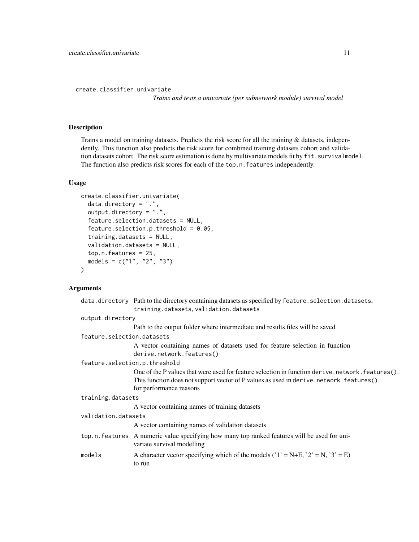<span id="page-10-0"></span>create.classifier.univariate

*Trains and tests a univariate (per subnetwork module) survival model*

#### Description

Trains a model on training datasets. Predicts the risk score for all the training & datasets, independently. This function also predicts the risk score for combined training datasets cohort and validation datasets cohort. The risk score estimation is done by multivariate models fit by fit.survivalmodel. The function also predicts risk scores for each of the top.n.features independently.

#### Usage

```
create.classifier.univariate(
  data.directory = ".",
  output.directory = ".",
  feature.selection.datasets = NULL,
  feature.selection.p.threshold = 0.05,
  training.datasets = NULL,
  validation.datasets = NULL,
  top.n.features = 25,
  models = c("1", "2", "3"))
```
# Arguments

|                               | data.directory Path to the directory containing datasets as specified by feature.selection.datasets,                       |  |
|-------------------------------|----------------------------------------------------------------------------------------------------------------------------|--|
|                               | training.datasets, validation.datasets                                                                                     |  |
| output.directory              |                                                                                                                            |  |
|                               | Path to the output folder where intermediate and results files will be saved                                               |  |
| feature.selection.datasets    |                                                                                                                            |  |
|                               | A vector containing names of datasets used for feature selection in function<br>derive.network.features()                  |  |
| feature.selection.p.threshold |                                                                                                                            |  |
|                               | One of the P values that were used for feature selection in function derive.network.features().                            |  |
|                               | This function does not support vector of P values as used in derive.network.features()                                     |  |
|                               | for performance reasons                                                                                                    |  |
| training.datasets             |                                                                                                                            |  |
|                               | A vector containing names of training datasets                                                                             |  |
| validation.datasets           |                                                                                                                            |  |
|                               | A vector containing names of validation datasets                                                                           |  |
|                               | top.n.features A numeric value specifying how many top ranked features will be used for uni-<br>variate survival modelling |  |
| models                        | A character vector specifying which of the models ( $'1' = N+E$ , $'2' = N$ , $'3' = E$ )<br>to run                        |  |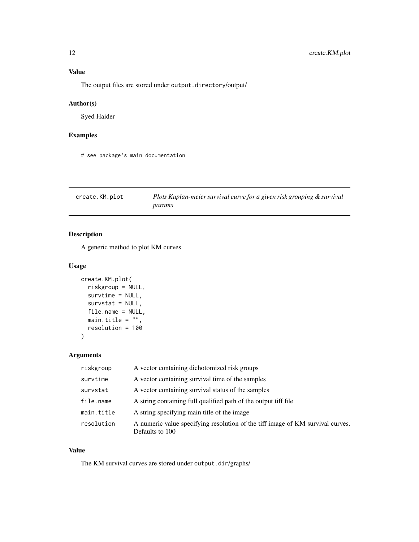<span id="page-11-0"></span>The output files are stored under output.directory/output/

#### Author(s)

Syed Haider

# Examples

# see package's main documentation

| create.KM.plot | Plots Kaplan-meier survival curve for a given risk grouping & survival |
|----------------|------------------------------------------------------------------------|
|                | params                                                                 |

# Description

A generic method to plot KM curves

# Usage

```
create.KM.plot(
  riskgroup = NULL,
  survtime = NULL,
  survstat = NULL,
  file.name = NULL,
  main.title = ",
  resolution = 100
\mathcal{L}
```
# Arguments

| riskgroup  | A vector containing dichotomized risk groups                                                      |
|------------|---------------------------------------------------------------------------------------------------|
| survtime   | A vector containing survival time of the samples                                                  |
| survstat   | A vector containing survival status of the samples                                                |
| file.name  | A string containing full qualified path of the output tiff file                                   |
| main.title | A string specifying main title of the image.                                                      |
| resolution | A numeric value specifying resolution of the tiff image of KM survival curves.<br>Defaults to 100 |

#### Value

The KM survival curves are stored under output.dir/graphs/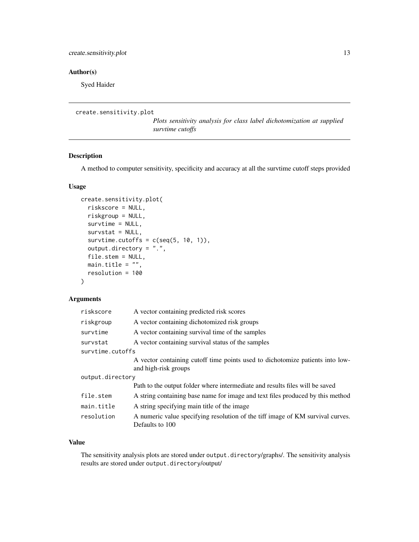# <span id="page-12-0"></span>Author(s)

Syed Haider

```
create.sensitivity.plot
```
*Plots sensitivity analysis for class label dichotomization at supplied survtime cutoffs*

#### Description

A method to computer sensitivity, specificity and accuracy at all the survtime cutoff steps provided

#### Usage

```
create.sensitivity.plot(
  riskscore = NULL,
  riskgroup = NULL,
  survtime = NULL,
  survstat = NULL,
  survtime.cutoffs = c(seq(5, 10, 1)),
  output.directory = ".",
  file.stem = NULL,
 main.title = ",
  resolution = 100
)
```
#### Arguments

| riskscore        | A vector containing predicted risk scores                                      |  |
|------------------|--------------------------------------------------------------------------------|--|
| riskgroup        | A vector containing dichotomized risk groups                                   |  |
| survtime         | A vector containing survival time of the samples                               |  |
| survstat         | A vector containing survival status of the samples                             |  |
| survtime.cutoffs |                                                                                |  |
|                  | A vector containing cutoff time points used to dichotomize patients into low-  |  |
|                  | and high-risk groups                                                           |  |
| output.directory |                                                                                |  |
|                  | Path to the output folder where intermediate and results files will be saved   |  |
| file.stem        | A string containing base name for image and text files produced by this method |  |
| main.title       | A string specifying main title of the image                                    |  |
| resolution       | A numeric value specifying resolution of the tiff image of KM survival curves. |  |
|                  | Defaults to 100                                                                |  |

#### Value

The sensitivity analysis plots are stored under output.directory/graphs/. The sensitivity analysis results are stored under output.directory/output/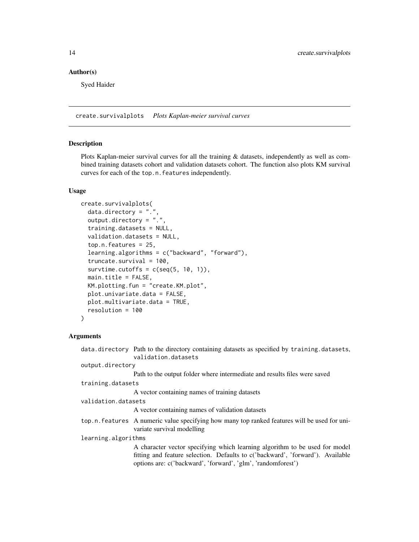# <span id="page-13-0"></span>Author(s)

Syed Haider

create.survivalplots *Plots Kaplan-meier survival curves*

#### Description

Plots Kaplan-meier survival curves for all the training & datasets, independently as well as combined training datasets cohort and validation datasets cohort. The function also plots KM survival curves for each of the top.n.features independently.

#### Usage

```
create.survivalplots(
  data.directory = "."
  output.directory = ".",
  training.datasets = NULL,
  validation.datasets = NULL,
  top.n.features = 25,
  learning.algorithms = c("backward", "forward"),
  truncate.survival = 100,
  survtime.cutoffs = c(seq(5, 10, 1)),
  main.title = FALSE,
  KM.plotting.fun = "create.KM.plot",
  plot.univariate.data = FALSE,
 plot.multivariate.data = TRUE,
  resolution = 100
)
```
#### Arguments

|                     | data directory Path to the directory containing datasets as specified by training datasets,<br>validation.datasets                                            |
|---------------------|---------------------------------------------------------------------------------------------------------------------------------------------------------------|
| output.directory    |                                                                                                                                                               |
|                     | Path to the output folder where intermediate and results files were saved                                                                                     |
| training.datasets   |                                                                                                                                                               |
|                     | A vector containing names of training datasets                                                                                                                |
| validation.datasets |                                                                                                                                                               |
|                     | A vector containing names of validation datasets                                                                                                              |
|                     | top.n.features A numeric value specifying how many top ranked features will be used for uni-<br>variate survival modelling                                    |
| learning.algorithms |                                                                                                                                                               |
|                     | A character vector specifying which learning algorithm to be used for model<br>fitting and feature selection. Defaults to c('backward', 'forward'). Available |
|                     | options are: c('backward', 'forward', 'glm', 'randomforest')                                                                                                  |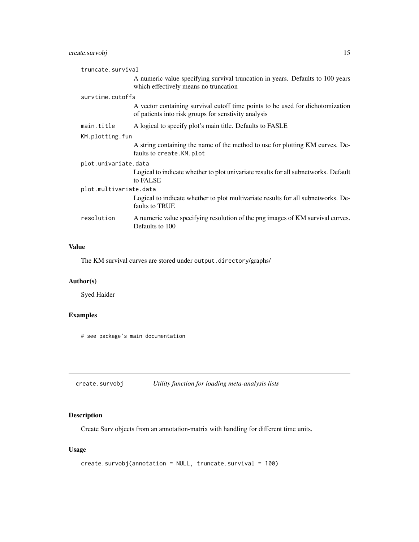# <span id="page-14-0"></span>create.survobj 15

|                        | truncate.survival |                                                                                                                                        |
|------------------------|-------------------|----------------------------------------------------------------------------------------------------------------------------------------|
|                        |                   | A numeric value specifying survival truncation in years. Defaults to 100 years<br>which effectively means no truncation                |
|                        | survtime.cutoffs  |                                                                                                                                        |
|                        |                   | A vector containing survival cutoff time points to be used for dichotomization<br>of patients into risk groups for senstivity analysis |
|                        | main.title        | A logical to specify plot's main title. Defaults to FASLE                                                                              |
|                        | KM.plotting.fun   |                                                                                                                                        |
|                        |                   | A string containing the name of the method to use for plotting KM curves. De-<br>faults to create. KM. plot                            |
| plot.univariate.data   |                   |                                                                                                                                        |
|                        |                   | Logical to indicate whether to plot univariate results for all subnetworks. Default<br>to FALSE                                        |
| plot.multivariate.data |                   |                                                                                                                                        |
|                        |                   | Logical to indicate whether to plot multivariate results for all subnetworks. De-<br>faults to TRUE                                    |
|                        | resolution        | A numeric value specifying resolution of the png images of KM survival curves.<br>Defaults to 100                                      |
|                        |                   |                                                                                                                                        |

# Value

The KM survival curves are stored under output.directory/graphs/

# Author(s)

Syed Haider

# Examples

# see package's main documentation

create.survobj *Utility function for loading meta-analysis lists*

# Description

Create Surv objects from an annotation-matrix with handling for different time units.

# Usage

```
create.survobj(annotation = NULL, truncate.survival = 100)
```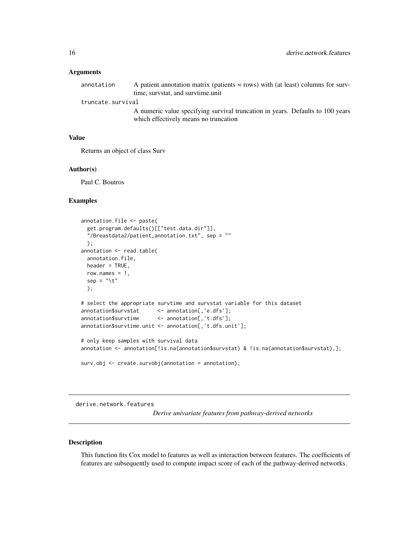#### <span id="page-15-0"></span>**Arguments**

| annotation        | A patient annotation matrix (patients = rows) with (at least) columns for surv- |  |
|-------------------|---------------------------------------------------------------------------------|--|
|                   | time, survstat, and survtime, unit                                              |  |
| truncate.survival |                                                                                 |  |
|                   | A numeric value epecifying survival truncation in vegre. Defaults to 100 years  |  |

A numeric value specifying survival truncation in years. Defaults to 100 years which effectively means no truncation

# Value

Returns an object of class Surv

#### Author(s)

Paul C. Boutros

#### Examples

```
annotation.file <- paste(
 get.program.defaults()[["test.data.dir"]],
  "/Breastdata2/patient_annotation.txt", sep = ""
 );
annotation <- read.table(
 annotation.file,
 header = TRUE,
 row.names = 1,
 sep = "\t"
 );
# select the appropriate survtime and survstat variable for this dataset
annotation$survstat <- annotation[,'e.dfs'];
annotation$survtime <- annotation[,'t.dfs'];
annotation$survtime.unit <- annotation[,'t.dfs.unit'];
# only keep samples with survival data
annotation <- annotation[!is.na(annotation$survstat) & !is.na(annotation$survstat),];
surv.obj <- create.survobj(annotation = annotation);
```
derive.network.features

*Derive univariate features from pathway-derived networks*

#### Description

This function fits Cox model to features as well as interaction between features. The coefficients of features are subsequently used to compute impact score of each of the pathway-derived networks.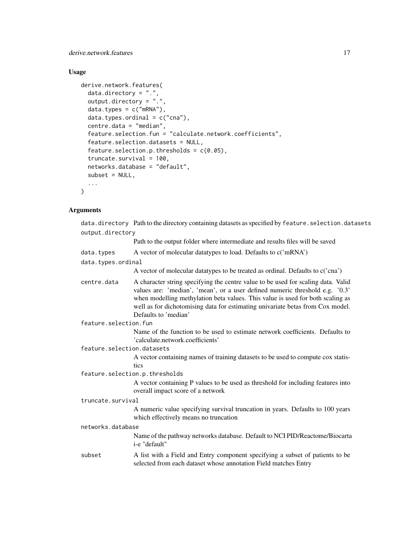derive.network.features 17

# Usage

```
derive.network.features(
  data.directory = ".".output.directory = ".",
  data.types = c("mRNA"),
  data.types.ordinal = c("cna"),
  centre.data = "median",
  feature.selection.fun = "calculate.network.coefficients",
  feature.selection.datasets = NULL,
  feature.selection.p.thresholds = c(0.05),
  truncate.survival = 100,
  networks.database = "default",
  subset = NULL,...
\mathcal{L}
```
# Arguments

data.directory Path to the directory containing datasets as specified by feature.selection.datasets output.directory Path to the output folder where intermediate and results files will be saved

| data.types                 | A vector of molecular datatypes to load. Defaults to c('mRNA')                                                                                                                                                                                                                                                                                                |  |
|----------------------------|---------------------------------------------------------------------------------------------------------------------------------------------------------------------------------------------------------------------------------------------------------------------------------------------------------------------------------------------------------------|--|
| data.types.ordinal         |                                                                                                                                                                                                                                                                                                                                                               |  |
|                            | A vector of molecular datatypes to be treated as ordinal. Defaults to c('cna')                                                                                                                                                                                                                                                                                |  |
| centre.data                | A character string specifying the centre value to be used for scaling data. Valid<br>values are: 'median', 'mean', or a user defined numeric threshold e.g. '0.3'<br>when modelling methylation beta values. This value is used for both scaling as<br>well as for dichotomising data for estimating univariate betas from Cox model.<br>Defaults to 'median' |  |
| feature.selection.fun      |                                                                                                                                                                                                                                                                                                                                                               |  |
|                            | Name of the function to be used to estimate network coefficients. Defaults to<br>'calculate.network.coefficients'                                                                                                                                                                                                                                             |  |
| feature.selection.datasets |                                                                                                                                                                                                                                                                                                                                                               |  |
|                            | A vector containing names of training datasets to be used to compute cox statis-<br>tics                                                                                                                                                                                                                                                                      |  |
|                            | feature.selection.p.thresholds                                                                                                                                                                                                                                                                                                                                |  |
|                            | A vector containing P values to be used as threshold for including features into<br>overall impact score of a network                                                                                                                                                                                                                                         |  |
| truncate.survival          |                                                                                                                                                                                                                                                                                                                                                               |  |
|                            | A numeric value specifying survival truncation in years. Defaults to 100 years<br>which effectively means no truncation                                                                                                                                                                                                                                       |  |
| networks.database          |                                                                                                                                                                                                                                                                                                                                                               |  |
|                            | Name of the pathway networks database. Default to NCI PID/Reactome/Biocarta<br>i-e "default"                                                                                                                                                                                                                                                                  |  |
| subset                     | A list with a Field and Entry component specifying a subset of patients to be<br>selected from each dataset whose annotation Field matches Entry                                                                                                                                                                                                              |  |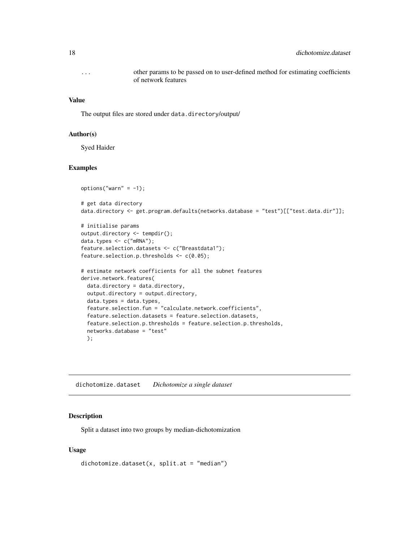<span id="page-17-0"></span>... other params to be passed on to user-defined method for estimating coefficients of network features

#### Value

The output files are stored under data.directory/output/

#### Author(s)

Syed Haider

#### Examples

```
options("warn" = -1);# get data directory
data.directory <- get.program.defaults(networks.database = "test")[["test.data.dir"]];
```

```
# initialise params
output.directory <- tempdir();
data.types <- c("mRNA");
feature.selection.datasets <- c("Breastdata1");
feature.selection.p.thresholds <- c(0.05);
```

```
# estimate network coefficients for all the subnet features
derive.network.features(
 data.directory = data.directory,
 output.directory = output.directory,
 data.types = data.types,
 feature.selection.fun = "calculate.network.coefficients",
 feature.selection.datasets = feature.selection.datasets,
 feature.selection.p.thresholds = feature.selection.p.thresholds,
 networks.database = "test"
 );
```
dichotomize.dataset *Dichotomize a single dataset*

#### Description

Split a dataset into two groups by median-dichotomization

#### Usage

```
dichotomize.dataset(x, split.at = "median")
```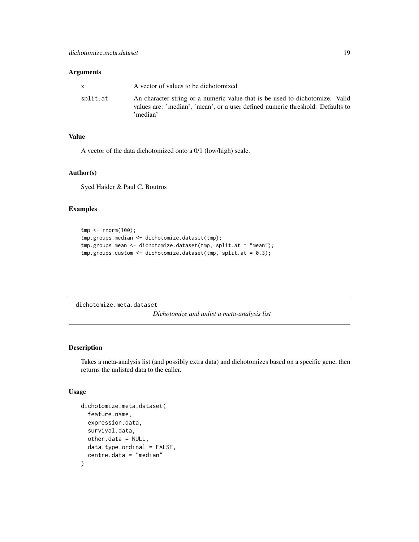#### <span id="page-18-0"></span>Arguments

| <b>X</b> | A vector of values to be dichotomized                                                                                                                                      |
|----------|----------------------------------------------------------------------------------------------------------------------------------------------------------------------------|
| split.at | An character string or a numeric value that is be used to dichotomize. Valid<br>values are: 'median', 'mean', or a user defined numeric threshold. Defaults to<br>'median' |

# Value

A vector of the data dichotomized onto a 0/1 (low/high) scale.

#### Author(s)

Syed Haider & Paul C. Boutros

#### Examples

```
tmp <- rnorm(100);
tmp.groups.median <- dichotomize.dataset(tmp);
tmp.groups.mean <- dichotomize.dataset(tmp, split.at = "mean");
tmp.groups.custom <- dichotomize.dataset(tmp, split.at = 0.3);
```
dichotomize.meta.dataset *Dichotomize and unlist a meta-analysis list*

# Description

Takes a meta-analysis list (and possibly extra data) and dichotomizes based on a specific gene, then returns the unlisted data to the caller.

# Usage

```
dichotomize.meta.dataset(
  feature.name,
  expression.data,
  survival.data,
  other.data = NULL,
 data.type.ordinal = FALSE,
  centre.data = "median"
)
```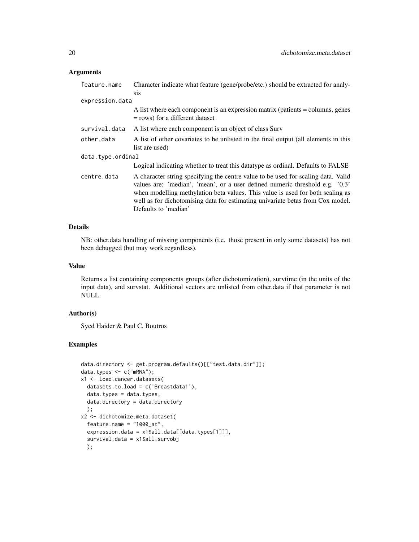# Arguments

| feature.name      | Character indicate what feature (gene/probe/etc.) should be extracted for analy-                                                                                                                                                                                                                                                                              |  |
|-------------------|---------------------------------------------------------------------------------------------------------------------------------------------------------------------------------------------------------------------------------------------------------------------------------------------------------------------------------------------------------------|--|
|                   | <b>SIS</b>                                                                                                                                                                                                                                                                                                                                                    |  |
| expression.data   |                                                                                                                                                                                                                                                                                                                                                               |  |
|                   | A list where each component is an expression matrix (patients = columns, genes<br>$=$ rows) for a different dataset                                                                                                                                                                                                                                           |  |
| survival.data     | A list where each component is an object of class Surv                                                                                                                                                                                                                                                                                                        |  |
| other.data        | A list of other covariates to be unlisted in the final output (all elements in this                                                                                                                                                                                                                                                                           |  |
|                   | list are used)                                                                                                                                                                                                                                                                                                                                                |  |
| data.type.ordinal |                                                                                                                                                                                                                                                                                                                                                               |  |
|                   | Logical indicating whether to treat this datatype as ordinal. Defaults to FALSE                                                                                                                                                                                                                                                                               |  |
| centre.data       | A character string specifying the centre value to be used for scaling data. Valid<br>values are: 'median', 'mean', or a user defined numeric threshold e.g. '0.3'<br>when modelling methylation beta values. This value is used for both scaling as<br>well as for dichotomising data for estimating univariate betas from Cox model.<br>Defaults to 'median' |  |

#### Details

NB: other.data handling of missing components (i.e. those present in only some datasets) has not been debugged (but may work regardless).

#### Value

Returns a list containing components groups (after dichotomization), survtime (in the units of the input data), and survstat. Additional vectors are unlisted from other.data if that parameter is not NULL.

# Author(s)

Syed Haider & Paul C. Boutros

#### Examples

```
data.directory <- get.program.defaults()[["test.data.dir"]];
data.types <- c("mRNA");
x1 <- load.cancer.datasets(
  datasets.to.load = c('Breastdata1'),
  data.types = data.types,
  data.directory = data.directory
  );
x2 <- dichotomize.meta.dataset(
  feature.name = "1000_at",expression.data = x1$all.data[[data.types[1]]],
  survival.data = x1$all.survobj
  );
```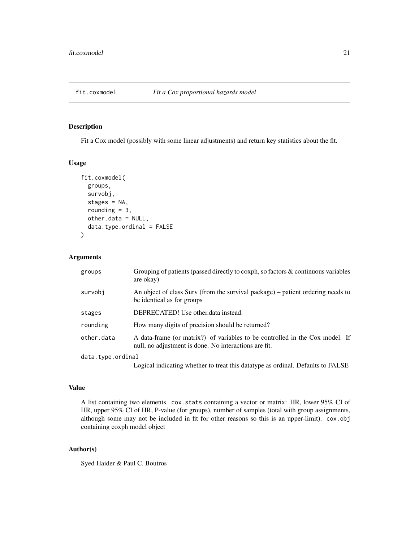<span id="page-20-0"></span>

#### Description

Fit a Cox model (possibly with some linear adjustments) and return key statistics about the fit.

#### Usage

```
fit.coxmodel(
  groups,
  survobj,
  stages = NA,
  rounding = 3,
  other.data = NULL,
  data.type.ordinal = FALSE
)
```
# Arguments

| groups            | Grouping of patients (passed directly to coxph, so factors & continuous variables<br>are okay)                                        |
|-------------------|---------------------------------------------------------------------------------------------------------------------------------------|
| survobi           | An object of class Surv (from the survival package) – patient ordering needs to<br>be identical as for groups                         |
| stages            | DEPRECATED! Use other.data instead.                                                                                                   |
| rounding          | How many digits of precision should be returned?                                                                                      |
| other.data        | A data-frame (or matrix?) of variables to be controlled in the Cox model. If<br>null, no adjustment is done. No interactions are fit. |
| data.type.ordinal |                                                                                                                                       |
|                   | Logical indicating whether to treat this datatype as ordinal. Defaults to FALSE                                                       |

# Value

A list containing two elements. cox.stats containing a vector or matrix: HR, lower 95% CI of HR, upper 95% CI of HR, P-value (for groups), number of samples (total with group assignments, although some may not be included in fit for other reasons so this is an upper-limit). cox.obj containing coxph model object

# Author(s)

Syed Haider & Paul C. Boutros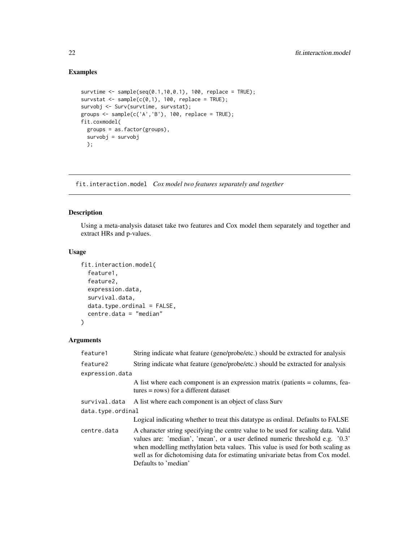# Examples

```
survtime <- sample(seq(0.1,10,0.1), 100, replace = TRUE);
survstat \leq sample(c(0,1), 100, replace = TRUE);
survobj <- Surv(survtime, survstat);
groups <- sample(c('A','B'), 100, replace = TRUE);
fit.coxmodel(
  groups = as.factor(groups),
  survobj = survobj
  );
```
fit.interaction.model *Cox model two features separately and together*

# Description

Using a meta-analysis dataset take two features and Cox model them separately and together and extract HRs and p-values.

# Usage

```
fit.interaction.model(
  feature1,
  feature2,
  expression.data,
  survival.data,
  data.type.ordinal = FALSE,
  centre.data = "median"
)
```
# Arguments

| feature1          | String indicate what feature (gene/probe/etc.) should be extracted for analysis                                                                                                                                                                                                                                                                               |  |
|-------------------|---------------------------------------------------------------------------------------------------------------------------------------------------------------------------------------------------------------------------------------------------------------------------------------------------------------------------------------------------------------|--|
| feature2          | String indicate what feature (gene/probe/etc.) should be extracted for analysis                                                                                                                                                                                                                                                                               |  |
| expression.data   |                                                                                                                                                                                                                                                                                                                                                               |  |
|                   | A list where each component is an expression matrix (patients = columns, fea-<br>$tures = rows)$ for a different dataset                                                                                                                                                                                                                                      |  |
| survival.data     | A list where each component is an object of class Surv                                                                                                                                                                                                                                                                                                        |  |
| data.type.ordinal |                                                                                                                                                                                                                                                                                                                                                               |  |
|                   | Logical indicating whether to treat this datatype as ordinal. Defaults to FALSE                                                                                                                                                                                                                                                                               |  |
| centre.data       | A character string specifying the centre value to be used for scaling data. Valid<br>values are: 'median', 'mean', or a user defined numeric threshold e.g. '0.3'<br>when modelling methylation beta values. This value is used for both scaling as<br>well as for dichotomising data for estimating univariate betas from Cox model.<br>Defaults to 'median' |  |

<span id="page-21-0"></span>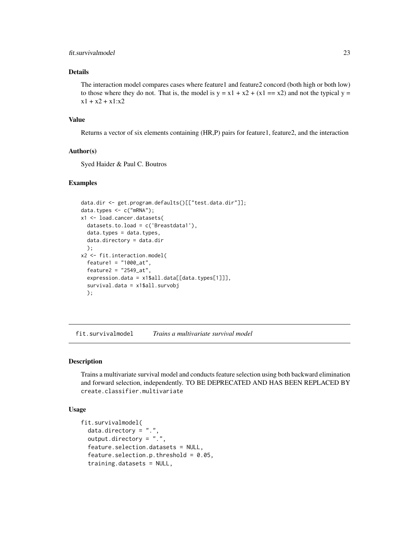#### <span id="page-22-0"></span>fit.survivalmodel 23

#### Details

The interaction model compares cases where feature1 and feature2 concord (both high or both low) to those where they do not. That is, the model is  $y = x1 + x2 + (x1 == x2)$  and not the typical  $y =$  $x1 + x2 + x1: x2$ 

#### Value

Returns a vector of six elements containing (HR,P) pairs for feature1, feature2, and the interaction

#### Author(s)

Syed Haider & Paul C. Boutros

#### Examples

```
data.dir <- get.program.defaults()[["test.data.dir"]];
data.types <- c("mRNA");
x1 <- load.cancer.datasets(
  datasets.to.load = c('Breastdata1'),
  data.types = data.types,
  data.directory = data.dir
  );
x2 <- fit.interaction.model(
  feature1 = "1000_at",
  feature2 = "2549_at",
  expression.data = x1$all.data[[data.types[1]]],
  survival.data = x1$all.survobj
  );
```
fit.survivalmodel *Trains a multivariate survival model*

# Description

Trains a multivariate survival model and conducts feature selection using both backward elimination and forward selection, independently. TO BE DEPRECATED AND HAS BEEN REPLACED BY create.classifier.multivariate

#### Usage

```
fit.survivalmodel(
  data.directory = "."output.directory = ".",
  feature.selection.datasets = NULL,
  feature.selection.p.threshold = 0.05,
  training.datasets = NULL,
```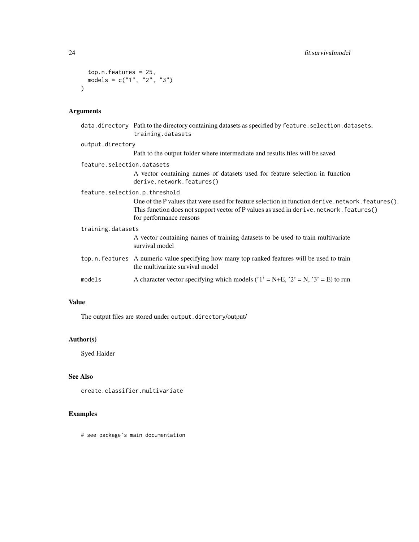```
top.n.features = 25,
  models = c("1", "2", "3")
\mathcal{L}
```
# Arguments

|                               | data.directory Path to the directory containing datasets as specified by feature.selection.datasets,<br>training.datasets                                                                                            |
|-------------------------------|----------------------------------------------------------------------------------------------------------------------------------------------------------------------------------------------------------------------|
| output.directory              |                                                                                                                                                                                                                      |
|                               | Path to the output folder where intermediate and results files will be saved                                                                                                                                         |
| feature.selection.datasets    |                                                                                                                                                                                                                      |
|                               | A vector containing names of datasets used for feature selection in function<br>derive.network.features()                                                                                                            |
| feature.selection.p.threshold |                                                                                                                                                                                                                      |
|                               | One of the P values that were used for feature selection in function derive.network.features().<br>This function does not support vector of P values as used in derive.network.features()<br>for performance reasons |
| training.datasets             |                                                                                                                                                                                                                      |
|                               | A vector containing names of training datasets to be used to train multivariate<br>survival model                                                                                                                    |
|                               | top.n. features A numeric value specifying how many top ranked features will be used to train<br>the multivariate survival model                                                                                     |
| models                        | A character vector specifying which models ( $1' = N+E$ , $2' = N$ , $3' = E$ ) to run                                                                                                                               |
|                               |                                                                                                                                                                                                                      |

# Value

The output files are stored under output.directory/output/

# Author(s)

Syed Haider

# See Also

```
create.classifier.multivariate
```
# Examples

# see package's main documentation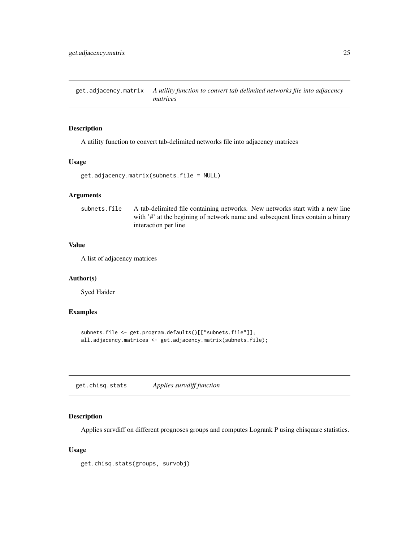<span id="page-24-0"></span>get.adjacency.matrix *A utility function to convert tab delimited networks file into adjacency matrices*

#### Description

A utility function to convert tab-delimited networks file into adjacency matrices

#### Usage

```
get.adjacency.matrix(subnets.file = NULL)
```
# Arguments

subnets.file A tab-delimited file containing networks. New networks start with a new line with '#' at the begining of network name and subsequent lines contain a binary interaction per line

#### Value

A list of adjacency matrices

#### Author(s)

Syed Haider

# Examples

```
subnets.file <- get.program.defaults()[["subnets.file"]];
all.adjacency.matrices <- get.adjacency.matrix(subnets.file);
```
get.chisq.stats *Applies survdiff function*

#### Description

Applies survdiff on different prognoses groups and computes Logrank P using chisquare statistics.

#### Usage

```
get.chisq.stats(groups, survobj)
```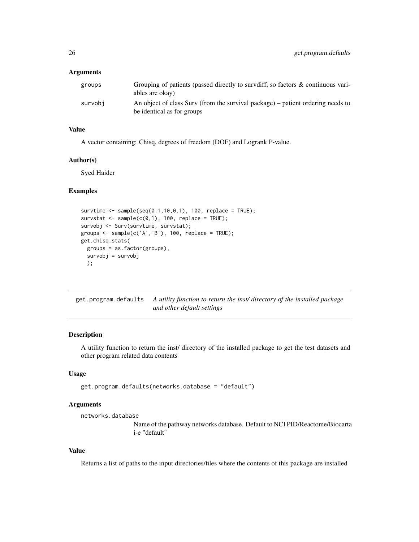#### <span id="page-25-0"></span>**Arguments**

| groups  | Grouping of patients (passed directly to survdiff, so factors & continuous vari-<br>ables are okay)           |
|---------|---------------------------------------------------------------------------------------------------------------|
| survobi | An object of class Surv (from the survival package) – patient ordering needs to<br>be identical as for groups |

# Value

A vector containing: Chisq, degrees of freedom (DOF) and Logrank P-value.

#### Author(s)

Syed Haider

#### Examples

```
survtime <- sample(seq(0.1,10,0.1), 100, replace = TRUE);
survstat \leq sample(c(0,1), 100, replace = TRUE);
survobj <- Surv(survtime, survstat);
groups <- sample(c('A','B'), 100, replace = TRUE);
get.chisq.stats(
  groups = as.factor(groups),
  survobj = survobj
  );
```
get.program.defaults *A utility function to return the inst/ directory of the installed package and other default settings*

# Description

A utility function to return the inst/ directory of the installed package to get the test datasets and other program related data contents

#### Usage

```
get.program.defaults(networks.database = "default")
```
#### Arguments

networks.database

Name of the pathway networks database. Default to NCI PID/Reactome/Biocarta i-e "default"

# Value

Returns a list of paths to the input directories/files where the contents of this package are installed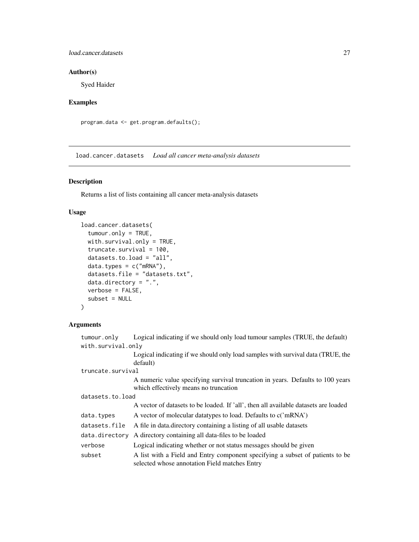#### <span id="page-26-0"></span>load.cancer.datasets 27

# Author(s)

Syed Haider

# Examples

```
program.data <- get.program.defaults();
```
load.cancer.datasets *Load all cancer meta-analysis datasets*

# Description

Returns a list of lists containing all cancer meta-analysis datasets

# Usage

```
load.cancer.datasets(
  tumour.only = TRUE,
 with.survival.only = TRUE,
  truncate.survival = 100,
  datasets.to.load = "all",
  data.types = c("mRNA"),
 datasets.file = "datasets.txt",
  data.directory = ".",
 verbose = FALSE,
  subset = NULL\lambda
```
# Arguments

| tumour.only        | Logical indicating if we should only load tumour samples (TRUE, the default)                                                   |  |
|--------------------|--------------------------------------------------------------------------------------------------------------------------------|--|
| with.survival.only |                                                                                                                                |  |
|                    | Logical indicating if we should only load samples with survival data (TRUE, the<br>default)                                    |  |
| truncate.survival  |                                                                                                                                |  |
|                    | A numeric value specifying survival truncation in years. Defaults to 100 years<br>which effectively means no truncation        |  |
| datasets.to.load   |                                                                                                                                |  |
|                    | A vector of datasets to be loaded. If 'all', then all available datasets are loaded                                            |  |
| data.types         | A vector of molecular datatypes to load. Defaults to c('mRNA')                                                                 |  |
| datasets.file      | A file in data directory containing a listing of all usable datasets                                                           |  |
| data.directory     | A directory containing all data-files to be loaded                                                                             |  |
| verbose            | Logical indicating whether or not status messages should be given                                                              |  |
| subset             | A list with a Field and Entry component specifying a subset of patients to be<br>selected whose annotation Field matches Entry |  |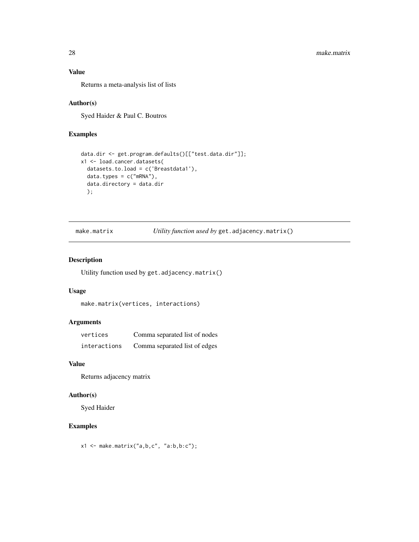# <span id="page-27-0"></span>Value

Returns a meta-analysis list of lists

# Author(s)

Syed Haider & Paul C. Boutros

#### Examples

```
data.dir <- get.program.defaults()[["test.data.dir"]];
x1 <- load.cancer.datasets(
  datasets.to.load = c('Breastdata1'),
  data.types = c("mRNA"),
  data.directory = data.dir
  );
```
make.matrix *Utility function used by* get.adjacency.matrix()

# Description

Utility function used by get.adjacency.matrix()

#### Usage

```
make.matrix(vertices, interactions)
```
# Arguments

| vertices     | Comma separated list of nodes |
|--------------|-------------------------------|
| interactions | Comma separated list of edges |

#### Value

Returns adjacency matrix

# Author(s)

Syed Haider

# Examples

 $x1 \leftarrow \text{make_matrix("a,b,c", "a:b,b:c");}$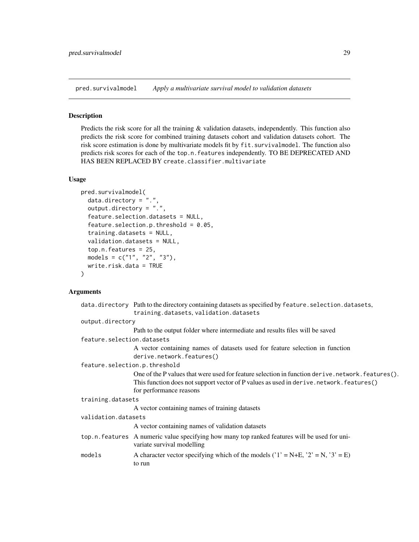<span id="page-28-0"></span>pred.survivalmodel *Apply a multivariate survival model to validation datasets*

#### Description

Predicts the risk score for all the training & validation datasets, independently. This function also predicts the risk score for combined training datasets cohort and validation datasets cohort. The risk score estimation is done by multivariate models fit by fit.survivalmodel. The function also predicts risk scores for each of the top.n.features independently. TO BE DEPRECATED AND HAS BEEN REPLACED BY create.classifier.multivariate

#### Usage

```
pred.survivalmodel(
  data.directory = ".''.output.directory = ".",
  feature.selection.datasets = NULL,
  feature.selection.p.threshold = 0.05,
  training.datasets = NULL,
  validation.datasets = NULL,
  top.n.features = 25,
  models = c("1", "2", "3"),
  write.risk.data = TRUE
)
```
#### Arguments

|                               | data.directory Path to the directory containing datasets as specified by feature.selection.datasets,                        |
|-------------------------------|-----------------------------------------------------------------------------------------------------------------------------|
|                               | training.datasets, validation.datasets                                                                                      |
| output.directory              |                                                                                                                             |
|                               | Path to the output folder where intermediate and results files will be saved                                                |
| feature.selection.datasets    |                                                                                                                             |
|                               | A vector containing names of datasets used for feature selection in function<br>derive.network.features()                   |
| feature.selection.p.threshold |                                                                                                                             |
|                               | One of the P values that were used for feature selection in function derive.network.features().                             |
|                               | This function does not support vector of P values as used in derive.network.features()                                      |
|                               | for performance reasons                                                                                                     |
| training.datasets             |                                                                                                                             |
|                               | A vector containing names of training datasets                                                                              |
| validation.datasets           |                                                                                                                             |
|                               | A vector containing names of validation datasets                                                                            |
|                               | top.n. features A numeric value specifying how many top ranked features will be used for uni-<br>variate survival modelling |
| models                        | A character vector specifying which of the models ( $'1' = N+E$ , $'2' = N$ , $'3' = E$ )<br>to run                         |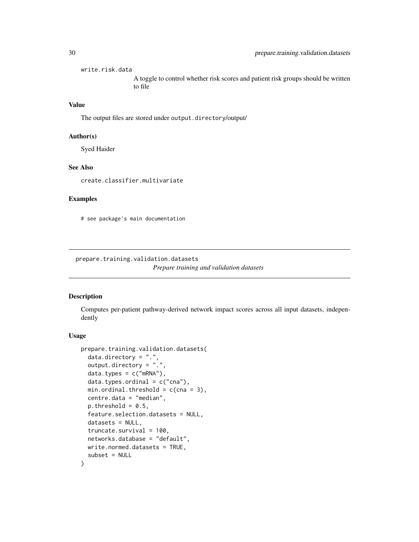<span id="page-29-0"></span>write.risk.data A toggle to control whether risk scores and patient risk groups should be written to file

# Value

The output files are stored under output.directory/output/

#### Author(s)

Syed Haider

#### See Also

create.classifier.multivariate

#### Examples

# see package's main documentation

prepare.training.validation.datasets *Prepare training and validation datasets*

#### Description

Computes per-patient pathway-derived network impact scores across all input datasets, independently

#### Usage

```
prepare.training.validation.datasets(
  data.directory = ".".output.directory = ".",
  data.types = c("mRNA"),
  data.types. ordinal = c("cna"),min.ordinal.threshold = c(\text{cna} = 3),
 centre.data = "median",
 p. threshold = 0.5,
  feature.selection.datasets = NULL,
  datasets = NULL,truncate.survival = 100,
 networks.database = "default",
 write.normed.datasets = TRUE,
  subset = NULL)
```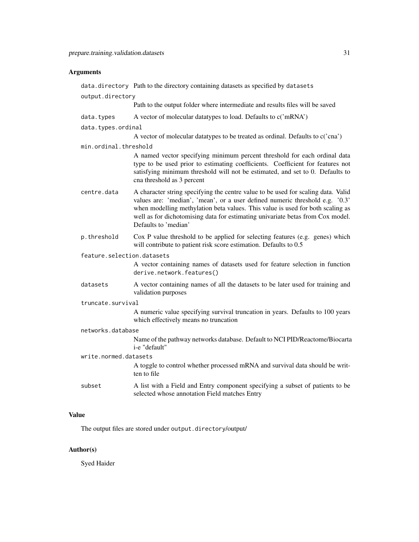#### **Arguments**

data.directory Path to the directory containing datasets as specified by datasets output.directory Path to the output folder where intermediate and results files will be saved data.types  $\overrightarrow{A}$  vector of molecular datatypes to load. Defaults to  $c(\text{mRNA'})$ data.types.ordinal A vector of molecular datatypes to be treated as ordinal. Defaults to c('cna') min.ordinal.threshold A named vector specifying minimum percent threshold for each ordinal data type to be used prior to estimating coefficients. Coefficient for features not satisfying minimum threshold will not be estimated, and set to 0. Defaults to cna threshold as 3 percent centre.data A character string specifying the centre value to be used for scaling data. Valid values are: 'median', 'mean', or a user defined numeric threshold e.g. '0.3' when modelling methylation beta values. This value is used for both scaling as well as for dichotomising data for estimating univariate betas from Cox model. Defaults to 'median' p.threshold Cox P value threshold to be applied for selecting features (e.g. genes) which will contribute to patient risk score estimation. Defaults to 0.5 feature.selection.datasets A vector containing names of datasets used for feature selection in function derive.network.features() datasets A vector containing names of all the datasets to be later used for training and validation purposes truncate.survival A numeric value specifying survival truncation in years. Defaults to 100 years which effectively means no truncation networks.database Name of the pathway networks database. Default to NCI PID/Reactome/Biocarta i-e "default" write.normed.datasets A toggle to control whether processed mRNA and survival data should be written to file subset A list with a Field and Entry component specifying a subset of patients to be selected whose annotation Field matches Entry

# Value

The output files are stored under output.directory/output/

#### Author(s)

Syed Haider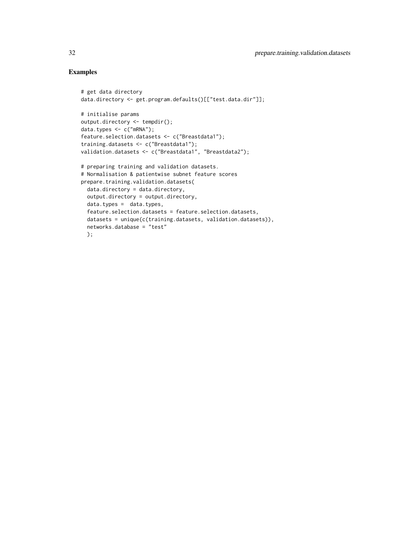# Examples

```
# get data directory
data.directory <- get.program.defaults()[["test.data.dir"]];
# initialise params
output.directory <- tempdir();
data.types <- c("mRNA");
feature.selection.datasets <- c("Breastdata1");
training.datasets <- c("Breastdata1");
validation.datasets <- c("Breastdata1", "Breastdata2");
# preparing training and validation datasets.
# Normalisation & patientwise subnet feature scores
prepare.training.validation.datasets(
  data.directory = data.directory,
  output.directory = output.directory,
  data.types = data.types,
  feature.selection.datasets = feature.selection.datasets,
  datasets = unique(c(training.datasets, validation.datasets)),
  networks.database = "test"
  );
```